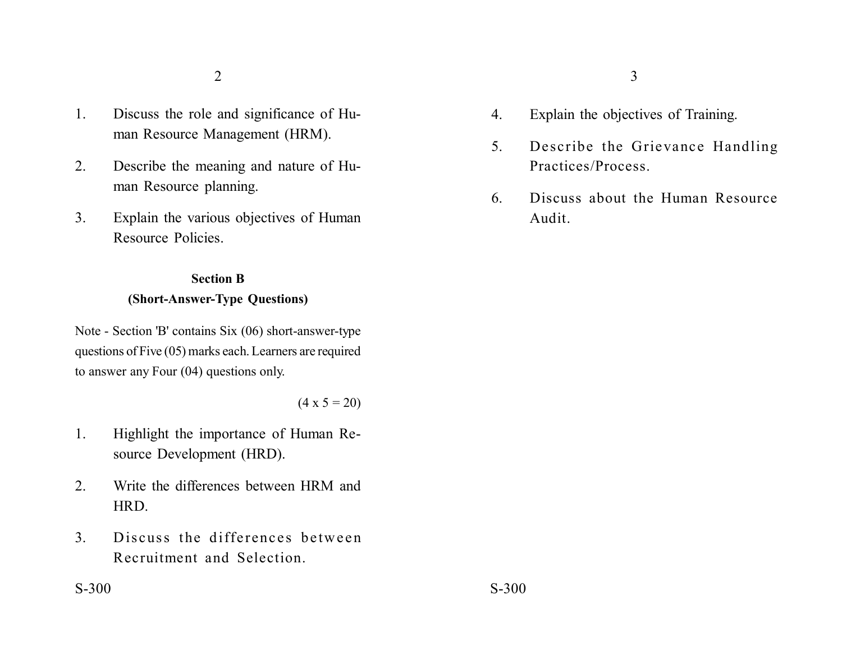- 1. Discuss the role and significance of Human Resource Management (HRM).
- 2. Describe the meaning and nature of Human Resource planning.
- 3. Explain the various objectives of Human Resource Policies.

## **Section B (Short-Answer-Type Questions)**

Note - Section 'B' contains Six (06) short-answer-type questions of Five (05) marks each. Learners are required to answer any Four (04) questions only.

 $(4 \times 5 = 20)$ 

- 1. Highlight the importance of Human Resource Development (HRD).
- 2. Write the differences between HRM and HRD.
- 3. Discuss the differences between Recruitment and Selection.
- 4. Explain the objectives of Training.
- 5. Describe the Grievance Handling Practices/Process.
- 6. Discuss about the Human Resource Audit.